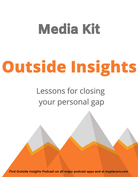# Media Kit

# **Outside Insights**

## Lessons for closing your personal gap

**Find Outside Insights Podcast on all major podcast apps and at myplacers.com**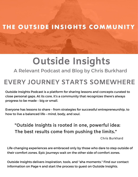#### THE OUTSIDE INSIGHTS COMMUNITY

# **Outside Insights**

A Relevant Podcast and Blog by Chris Burkhard

#### **EVERY JOURNEY STARTS SOMEWHERE**

Outside Insights Podcast is a platform for sharing lessons and concepts curated to close personal gaps. At its core, it's a community that recognizes there's always progress to be made – big or small.

Everyone has lessons to share – from strategies for successful entrepreneurship, to how to live a balanced life – mind, body, and soul.

**"Outside Insights is rooted in one, powerful idea: The best results come from pushing the limits."**

Chris Burkhard

Life-changing experiences are embraced only by those who dare to step outside of their comfort zones. Epic journeys wait on the other side of comfort zones.

Outside Insights delivers inspiration, tools, and "aha moments." Find our contact information on Page 4 and start the process to guest on Outside Insights.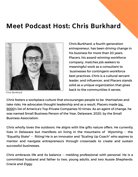#### **Meet Podcast Host: Chris Burkhard**



Chris Burkhard

Chris Burkhard, a fourth-generation entrepreneur, has been driving change in his business for more than 20 years. Placers, his award-winning workforce company, matches job seekers to meaningful work as a consultant to businesses for contingent-workforce best practices. Chris is a cultural servant leader, and influencer, and Placers stands solid as a unique organization that gives back to the communities it serves.

Chris fosters a workplace culture that encouranges people to be themselves and take risks. He advocates thought leadership and as a result, Placers made Inc. 5000's list of America's Top Private Companies 10 times. As an agent of change, he was named Small Business Person of the Year, Delaware, 2020, by the Small Business Association.

Chris wholly loves the outdoors. He aligns with the gifts nature offers. He currently lives in Delaware but manifests on living in the mountains of Wyoming -- the "Equality State" -- fitting! He is an innovator and "Scaling Up Coach" who aspires to mentor and navigate entrepreneurs through crossroads to create and sustain successful businesses.

Chris embraces life and its balance -- melding professional with personal. He is a committed husband and father to two, young adults, and two Aussie Shepherds: Gracie and Ziggy.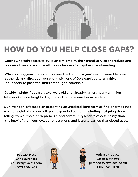

### HOW DO YOU HELP CLOSE GAPS?

Guests who gain access to our platform amplify their brand, service or product, and optimize their voice across all of our channels for top-tier cross-branding.

While sharing your stories on this unedited platform, you're empowered to have authentic and direct conversations with one of Delaware's culturally driven influencers, to push the limits of thought leadership.

Outside Insights Podcast is two years old and already garners nearly a million listeners! Outside Insights Blog boasts the same number in readers.

Our intention is focused on presenting an unedited, long-form self-help format that reaches a global audience. Expect expanded content including intriguing storytelling from authors, entrepreneurs, and community leaders who selflessly share "the how" of their journeys, current stations, and lessons learned that closed gaps.

**Podcast Host Chris Burkhard chris@myplacers.com (302) 480-1487**





**Podcast Producer Jason Mathews jmathews@myplacers.com (302) 241-0428**